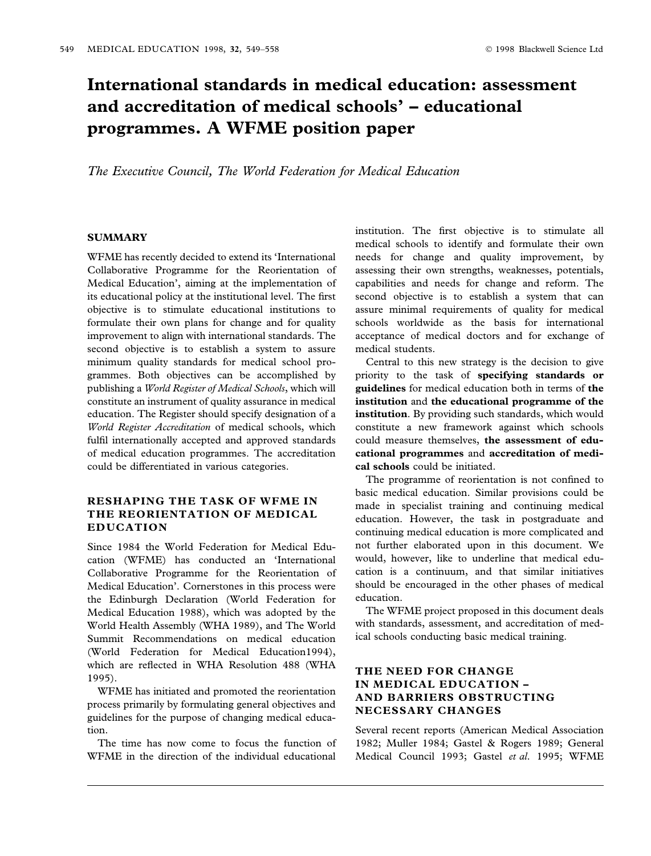# International standards in medical education: assessment and accreditation of medical schools' – educational programmes. A WFME position paper

The Executive Council, The World Federation for Medical Education

## **SUMMARY**

WFME has recently decided to extend its 'International Collaborative Programme for the Reorientation of Medical Education', aiming at the implementation of its educational policy at the institutional level. The first objective is to stimulate educational institutions to formulate their own plans for change and for quality improvement to align with international standards. The second objective is to establish a system to assure minimum quality standards for medical school programmes. Both objectives can be accomplished by publishing a World Register of Medical Schools, which will constitute an instrument of quality assurance in medical education. The Register should specify designation of a World Register Accreditation of medical schools, which fulfil internationally accepted and approved standards of medical education programmes. The accreditation could be differentiated in various categories.

# RESHAPING THE TASK OF WFME IN THE REORIENTATION OF MEDICAL EDUCATION

Since 1984 the World Federation for Medical Education (WFME) has conducted an 'International Collaborative Programme for the Reorientation of Medical Education'. Cornerstones in this process were the Edinburgh Declaration (World Federation for Medical Education 1988), which was adopted by the World Health Assembly (WHA 1989), and The World Summit Recommendations on medical education (World Federation for Medical Education1994), which are reflected in WHA Resolution 488 (WHA 1995).

WFME has initiated and promoted the reorientation process primarily by formulating general objectives and guidelines for the purpose of changing medical education.

The time has now come to focus the function of WFME in the direction of the individual educational

institution. The first objective is to stimulate all medical schools to identify and formulate their own needs for change and quality improvement, by assessing their own strengths, weaknesses, potentials, capabilities and needs for change and reform. The second objective is to establish a system that can assure minimal requirements of quality for medical schools worldwide as the basis for international acceptance of medical doctors and for exchange of medical students.

Central to this new strategy is the decision to give priority to the task of specifying standards or guidelines for medical education both in terms of the institution and the educational programme of the institution. By providing such standards, which would constitute a new framework against which schools could measure themselves, the assessment of educational programmes and accreditation of medical schools could be initiated.

The programme of reorientation is not confined to basic medical education. Similar provisions could be made in specialist training and continuing medical education. However, the task in postgraduate and continuing medical education is more complicated and not further elaborated upon in this document. We would, however, like to underline that medical education is a continuum, and that similar initiatives should be encouraged in the other phases of medical education.

The WFME project proposed in this document deals with standards, assessment, and accreditation of medical schools conducting basic medical training.

# THE NEED FOR CHANGE IN MEDICAL EDUCATION -AND BARRIERS OBSTRUCTING NECESSARY CHANGES

Several recent reports (American Medical Association 1982; Muller 1984; Gastel & Rogers 1989; General Medical Council 1993; Gastel et al. 1995; WFME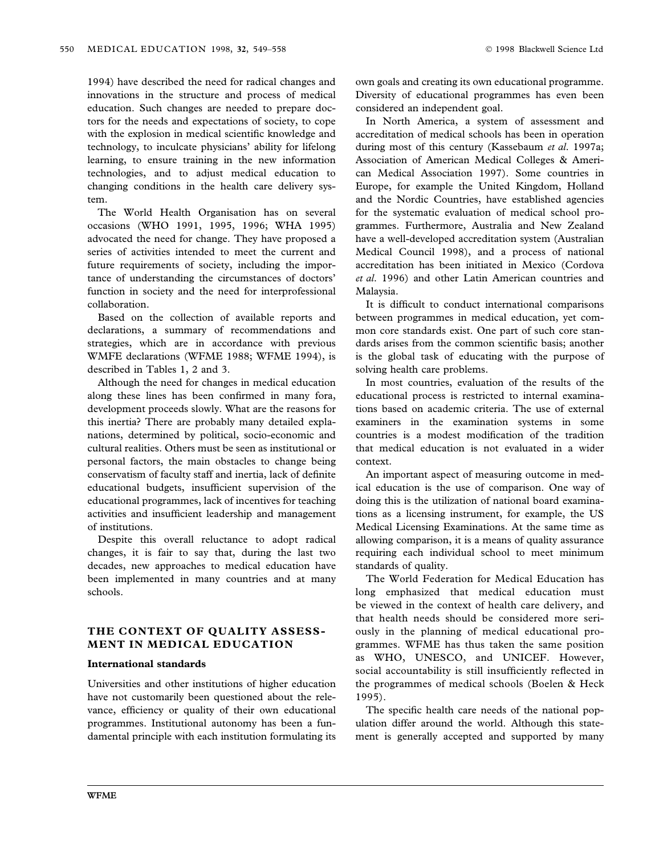1994) have described the need for radical changes and innovations in the structure and process of medical education. Such changes are needed to prepare doctors for the needs and expectations of society, to cope with the explosion in medical scientific knowledge and technology, to inculcate physicians' ability for lifelong learning, to ensure training in the new information technologies, and to adjust medical education to changing conditions in the health care delivery system.

The World Health Organisation has on several occasions (WHO 1991, 1995, 1996; WHA 1995) advocated the need for change. They have proposed a series of activities intended to meet the current and future requirements of society, including the importance of understanding the circumstances of doctors' function in society and the need for interprofessional collaboration.

Based on the collection of available reports and declarations, a summary of recommendations and strategies, which are in accordance with previous WMFE declarations (WFME 1988; WFME 1994), is described in Tables 1, 2 and 3.

Although the need for changes in medical education along these lines has been confirmed in many fora, development proceeds slowly. What are the reasons for this inertia? There are probably many detailed explanations, determined by political, socio-economic and cultural realities. Others must be seen as institutional or personal factors, the main obstacles to change being conservatism of faculty staff and inertia, lack of definite educational budgets, insufficient supervision of the educational programmes, lack of incentives for teaching activities and insufficient leadership and management of institutions.

Despite this overall reluctance to adopt radical changes, it is fair to say that, during the last two decades, new approaches to medical education have been implemented in many countries and at many schools.

## THE CONTEXT OF QUALITY ASSESS-MENT IN MEDICAL EDUCATION

## International standards

Universities and other institutions of higher education have not customarily been questioned about the relevance, efficiency or quality of their own educational programmes. Institutional autonomy has been a fundamental principle with each institution formulating its own goals and creating its own educational programme. Diversity of educational programmes has even been considered an independent goal.

In North America, a system of assessment and accreditation of medical schools has been in operation during most of this century (Kassebaum et al. 1997a; Association of American Medical Colleges & American Medical Association 1997). Some countries in Europe, for example the United Kingdom, Holland and the Nordic Countries, have established agencies for the systematic evaluation of medical school programmes. Furthermore, Australia and New Zealand have a well-developed accreditation system (Australian Medical Council 1998), and a process of national accreditation has been initiated in Mexico (Cordova et al. 1996) and other Latin American countries and Malaysia.

It is difficult to conduct international comparisons between programmes in medical education, yet common core standards exist. One part of such core standards arises from the common scientific basis; another is the global task of educating with the purpose of solving health care problems.

In most countries, evaluation of the results of the educational process is restricted to internal examinations based on academic criteria. The use of external examiners in the examination systems in some countries is a modest modification of the tradition that medical education is not evaluated in a wider context.

An important aspect of measuring outcome in medical education is the use of comparison. One way of doing this is the utilization of national board examinations as a licensing instrument, for example, the US Medical Licensing Examinations. At the same time as allowing comparison, it is a means of quality assurance requiring each individual school to meet minimum standards of quality.

The World Federation for Medical Education has long emphasized that medical education must be viewed in the context of health care delivery, and that health needs should be considered more seriously in the planning of medical educational programmes. WFME has thus taken the same position as WHO, UNESCO, and UNICEF. However, social accountability is still insufficiently reflected in the programmes of medical schools (Boelen & Heck 1995).

The specific health care needs of the national population differ around the world. Although this statement is generally accepted and supported by many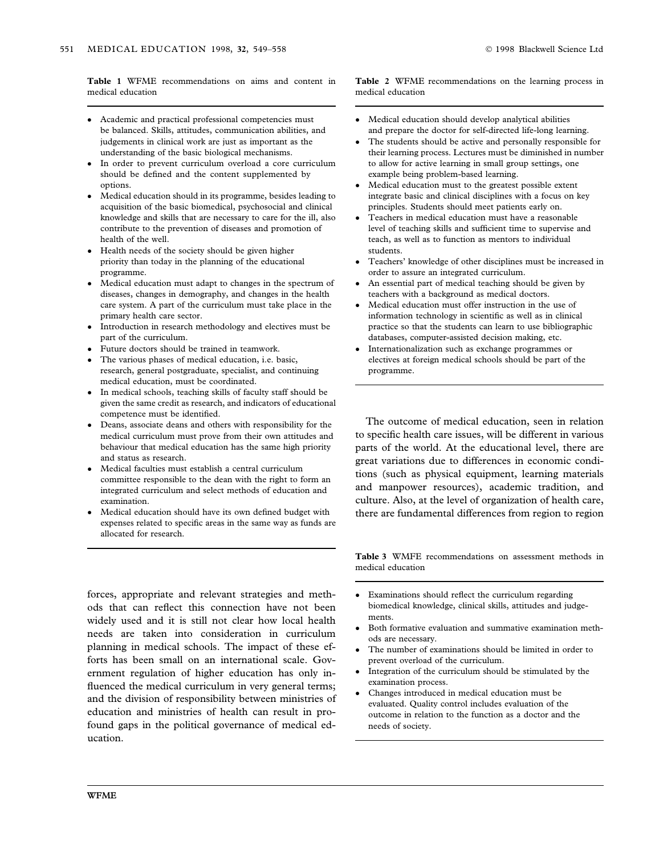Table 1 WFME recommendations on aims and content in medical education

- Academic and practical professional competencies must be balanced. Skills, attitudes, communication abilities, and judgements in clinical work are just as important as the understanding of the basic biological mechanisms.
- In order to prevent curriculum overload a core curriculum should be defined and the content supplemented by options.
- Medical education should in its programme, besides leading to acquisition of the basic biomedical, psychosocial and clinical knowledge and skills that are necessary to care for the ill, also contribute to the prevention of diseases and promotion of health of the well.
- Health needs of the society should be given higher priority than today in the planning of the educational programme.
- Medical education must adapt to changes in the spectrum of diseases, changes in demography, and changes in the health care system. A part of the curriculum must take place in the primary health care sector.
- Introduction in research methodology and electives must be part of the curriculum.
- Future doctors should be trained in teamwork.
- The various phases of medical education, i.e. basic, research, general postgraduate, specialist, and continuing medical education, must be coordinated.
- In medical schools, teaching skills of faculty staff should be given the same credit as research, and indicators of educational competence must be identified.
- Deans, associate deans and others with responsibility for the medical curriculum must prove from their own attitudes and behaviour that medical education has the same high priority and status as research.
- Medical faculties must establish a central curriculum committee responsible to the dean with the right to form an integrated curriculum and select methods of education and examination.
- Medical education should have its own defined budget with expenses related to specific areas in the same way as funds are allocated for research.

forces, appropriate and relevant strategies and methods that can reflect this connection have not been widely used and it is still not clear how local health needs are taken into consideration in curriculum planning in medical schools. The impact of these efforts has been small on an international scale. Government regulation of higher education has only in fluenced the medical curriculum in very general terms; and the division of responsibility between ministries of education and ministries of health can result in profound gaps in the political governance of medical education.

Table 2 WFME recommendations on the learning process in medical education

- Medical education should develop analytical abilities and prepare the doctor for self-directed life-long learning.
- The students should be active and personally responsible for their learning process. Lectures must be diminished in number to allow for active learning in small group settings, one example being problem-based learning.
- Medical education must to the greatest possible extent integrate basic and clinical disciplines with a focus on key principles. Students should meet patients early on.
- Teachers in medical education must have a reasonable level of teaching skills and sufficient time to supervise and teach, as well as to function as mentors to individual students.
- Teachers' knowledge of other disciplines must be increased in order to assure an integrated curriculum.
- An essential part of medical teaching should be given by teachers with a background as medical doctors.
- Medical education must offer instruction in the use of information technology in scientific as well as in clinical practice so that the students can learn to use bibliographic databases, computer-assisted decision making, etc.
- Internationalization such as exchange programmes or electives at foreign medical schools should be part of the programme.

The outcome of medical education, seen in relation to specific health care issues, will be different in various parts of the world. At the educational level, there are great variations due to differences in economic conditions (such as physical equipment, learning materials and manpower resources), academic tradition, and culture. Also, at the level of organization of health care, there are fundamental differences from region to region

Table 3 WMFE recommendations on assessment methods in medical education

- Examinations should reflect the curriculum regarding biomedical knowledge, clinical skills, attitudes and judgements.
- Both formative evaluation and summative examination methods are necessary.
- The number of examinations should be limited in order to prevent overload of the curriculum.
- Integration of the curriculum should be stimulated by the examination process.
- Changes introduced in medical education must be evaluated. Quality control includes evaluation of the outcome in relation to the function as a doctor and the needs of society.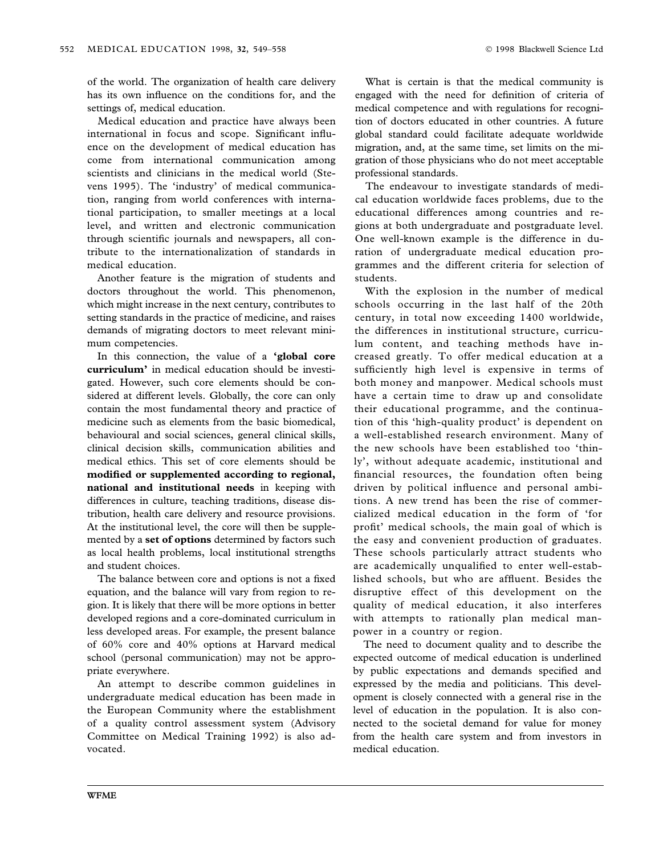of the world. The organization of health care delivery has its own influence on the conditions for, and the settings of, medical education.

Medical education and practice have always been international in focus and scope. Significant influence on the development of medical education has come from international communication among scientists and clinicians in the medical world (Stevens 1995). The `industry' of medical communication, ranging from world conferences with international participation, to smaller meetings at a local level, and written and electronic communication through scientific journals and newspapers, all contribute to the internationalization of standards in medical education.

Another feature is the migration of students and doctors throughout the world. This phenomenon, which might increase in the next century, contributes to setting standards in the practice of medicine, and raises demands of migrating doctors to meet relevant minimum competencies.

In this connection, the value of a 'global core curriculum' in medical education should be investigated. However, such core elements should be considered at different levels. Globally, the core can only contain the most fundamental theory and practice of medicine such as elements from the basic biomedical, behavioural and social sciences, general clinical skills, clinical decision skills, communication abilities and medical ethics. This set of core elements should be modified or supplemented according to regional, national and institutional needs in keeping with differences in culture, teaching traditions, disease distribution, health care delivery and resource provisions. At the institutional level, the core will then be supplemented by a set of options determined by factors such as local health problems, local institutional strengths and student choices.

The balance between core and options is not a fixed equation, and the balance will vary from region to region. It is likely that there will be more options in better developed regions and a core-dominated curriculum in less developed areas. For example, the present balance of 60% core and 40% options at Harvard medical school (personal communication) may not be appropriate everywhere.

An attempt to describe common guidelines in undergraduate medical education has been made in the European Community where the establishment of a quality control assessment system (Advisory Committee on Medical Training 1992) is also advocated.

What is certain is that the medical community is engaged with the need for definition of criteria of medical competence and with regulations for recognition of doctors educated in other countries. A future global standard could facilitate adequate worldwide migration, and, at the same time, set limits on the migration of those physicians who do not meet acceptable professional standards.

The endeavour to investigate standards of medical education worldwide faces problems, due to the educational differences among countries and regions at both undergraduate and postgraduate level. One well-known example is the difference in duration of undergraduate medical education programmes and the different criteria for selection of students.

With the explosion in the number of medical schools occurring in the last half of the 20th century, in total now exceeding 1400 worldwide, the differences in institutional structure, curriculum content, and teaching methods have increased greatly. To offer medical education at a sufficiently high level is expensive in terms of both money and manpower. Medical schools must have a certain time to draw up and consolidate their educational programme, and the continuation of this `high-quality product' is dependent on a well-established research environment. Many of the new schools have been established too `thinly', without adequate academic, institutional and financial resources, the foundation often being driven by political influence and personal ambitions. A new trend has been the rise of commercialized medical education in the form of `for profit' medical schools, the main goal of which is the easy and convenient production of graduates. These schools particularly attract students who are academically unqualified to enter well-established schools, but who are affluent. Besides the disruptive effect of this development on the quality of medical education, it also interferes with attempts to rationally plan medical manpower in a country or region.

The need to document quality and to describe the expected outcome of medical education is underlined by public expectations and demands specified and expressed by the media and politicians. This development is closely connected with a general rise in the level of education in the population. It is also connected to the societal demand for value for money from the health care system and from investors in medical education.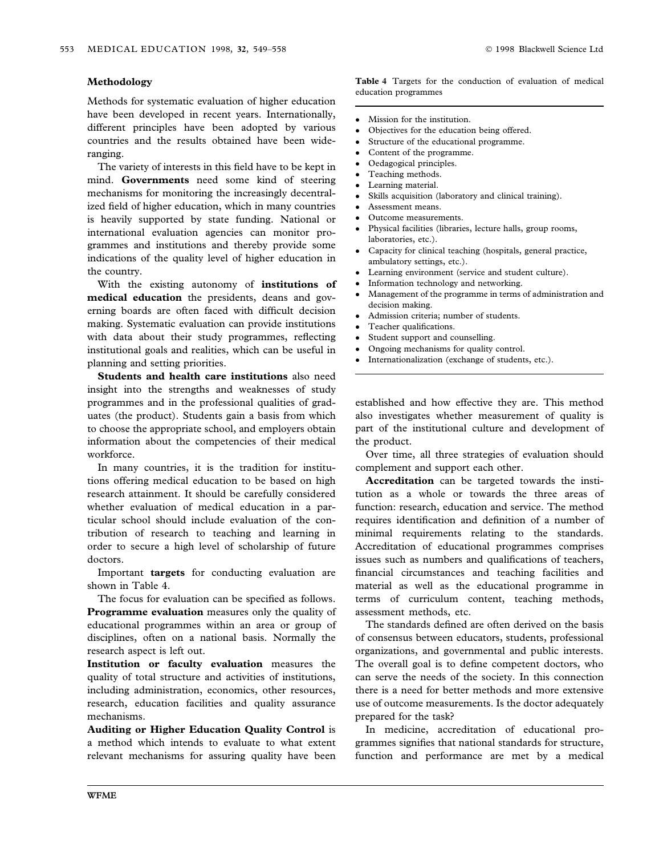#### Methodology

Methods for systematic evaluation of higher education have been developed in recent years. Internationally, different principles have been adopted by various countries and the results obtained have been wideranging.

The variety of interests in this field have to be kept in mind. Governments need some kind of steering mechanisms for monitoring the increasingly decentralized field of higher education, which in many countries is heavily supported by state funding. National or international evaluation agencies can monitor programmes and institutions and thereby provide some indications of the quality level of higher education in the country.

With the existing autonomy of institutions of medical education the presidents, deans and governing boards are often faced with difficult decision making. Systematic evaluation can provide institutions with data about their study programmes, reflecting institutional goals and realities, which can be useful in planning and setting priorities.

Students and health care institutions also need insight into the strengths and weaknesses of study programmes and in the professional qualities of graduates (the product). Students gain a basis from which to choose the appropriate school, and employers obtain information about the competencies of their medical workforce.

In many countries, it is the tradition for institutions offering medical education to be based on high research attainment. It should be carefully considered whether evaluation of medical education in a particular school should include evaluation of the contribution of research to teaching and learning in order to secure a high level of scholarship of future doctors.

Important targets for conducting evaluation are shown in Table 4.

The focus for evaluation can be specified as follows. **Programme evaluation** measures only the quality of educational programmes within an area or group of disciplines, often on a national basis. Normally the research aspect is left out.

Institution or faculty evaluation measures the quality of total structure and activities of institutions, including administration, economics, other resources, research, education facilities and quality assurance mechanisms.

Auditing or Higher Education Quality Control is a method which intends to evaluate to what extent relevant mechanisms for assuring quality have been Table 4 Targets for the conduction of evaluation of medical education programmes

- Mission for the institution.
- Objectives for the education being offered.
- Structure of the educational programme.
- Content of the programme.
- Oedagogical principles.
- Teaching methods.
- Learning material.
- Skills acquisition (laboratory and clinical training).
- Assessment means.
- Outcome measurements.
- Physical facilities (libraries, lecture halls, group rooms, laboratories, etc.).
- Capacity for clinical teaching (hospitals, general practice, ambulatory settings, etc.).
- Learning environment (service and student culture).
- Information technology and networking.
- Management of the programme in terms of administration and decision making.
- Admission criteria; number of students.
- Teacher qualifications.
- Student support and counselling.
- Ongoing mechanisms for quality control.<br>• Internationalization (exchange of student
- Internationalization (exchange of students, etc.).

established and how effective they are. This method also investigates whether measurement of quality is part of the institutional culture and development of the product.

Over time, all three strategies of evaluation should complement and support each other.

Accreditation can be targeted towards the institution as a whole or towards the three areas of function: research, education and service. The method requires identification and definition of a number of minimal requirements relating to the standards. Accreditation of educational programmes comprises issues such as numbers and qualifications of teachers, financial circumstances and teaching facilities and material as well as the educational programme in terms of curriculum content, teaching methods, assessment methods, etc.

The standards defined are often derived on the basis of consensus between educators, students, professional organizations, and governmental and public interests. The overall goal is to define competent doctors, who can serve the needs of the society. In this connection there is a need for better methods and more extensive use of outcome measurements. Is the doctor adequately prepared for the task?

In medicine, accreditation of educational programmes signifies that national standards for structure, function and performance are met by a medical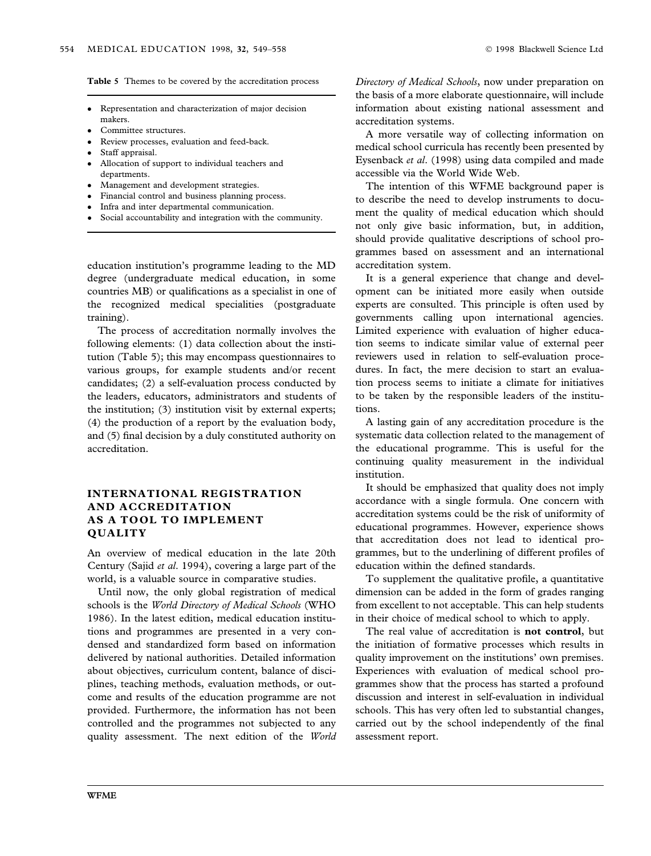Table 5 Themes to be covered by the accreditation process

- Representation and characterization of major decision makers.
- Committee structures.
- Review processes, evaluation and feed-back.
- Staff appraisal.
- Allocation of support to individual teachers and departments.
- **Management and development strategies.**
- Financial control and business planning process.
- Infra and inter departmental communication.
- Social accountability and integration with the community.

education institution's programme leading to the MD degree (undergraduate medical education, in some countries MB) or qualifications as a specialist in one of the recognized medical specialities (postgraduate training).

The process of accreditation normally involves the following elements: (1) data collection about the institution (Table 5); this may encompass questionnaires to various groups, for example students and/or recent candidates; (2) a self-evaluation process conducted by the leaders, educators, administrators and students of the institution; (3) institution visit by external experts; (4) the production of a report by the evaluation body, and (5) final decision by a duly constituted authority on accreditation.

## INTERNATIONAL REGISTRATION AND ACCREDITATION AS A TOOL TO IMPLEMENT QUALITY

An overview of medical education in the late 20th Century (Sajid et al. 1994), covering a large part of the world, is a valuable source in comparative studies.

Until now, the only global registration of medical schools is the World Directory of Medical Schools (WHO 1986). In the latest edition, medical education institutions and programmes are presented in a very condensed and standardized form based on information delivered by national authorities. Detailed information about objectives, curriculum content, balance of disciplines, teaching methods, evaluation methods, or outcome and results of the education programme are not provided. Furthermore, the information has not been controlled and the programmes not subjected to any quality assessment. The next edition of the World Directory of Medical Schools, now under preparation on the basis of a more elaborate questionnaire, will include information about existing national assessment and accreditation systems.

A more versatile way of collecting information on medical school curricula has recently been presented by Eysenback et al. (1998) using data compiled and made accessible via the World Wide Web.

The intention of this WFME background paper is to describe the need to develop instruments to document the quality of medical education which should not only give basic information, but, in addition, should provide qualitative descriptions of school programmes based on assessment and an international accreditation system.

It is a general experience that change and development can be initiated more easily when outside experts are consulted. This principle is often used by governments calling upon international agencies. Limited experience with evaluation of higher education seems to indicate similar value of external peer reviewers used in relation to self-evaluation procedures. In fact, the mere decision to start an evaluation process seems to initiate a climate for initiatives to be taken by the responsible leaders of the institutions.

A lasting gain of any accreditation procedure is the systematic data collection related to the management of the educational programme. This is useful for the continuing quality measurement in the individual institution.

It should be emphasized that quality does not imply accordance with a single formula. One concern with accreditation systems could be the risk of uniformity of educational programmes. However, experience shows that accreditation does not lead to identical programmes, but to the underlining of different profiles of education within the defined standards.

To supplement the qualitative profile, a quantitative dimension can be added in the form of grades ranging from excellent to not acceptable. This can help students in their choice of medical school to which to apply.

The real value of accreditation is not control, but the initiation of formative processes which results in quality improvement on the institutions' own premises. Experiences with evaluation of medical school programmes show that the process has started a profound discussion and interest in self-evaluation in individual schools. This has very often led to substantial changes, carried out by the school independently of the final assessment report.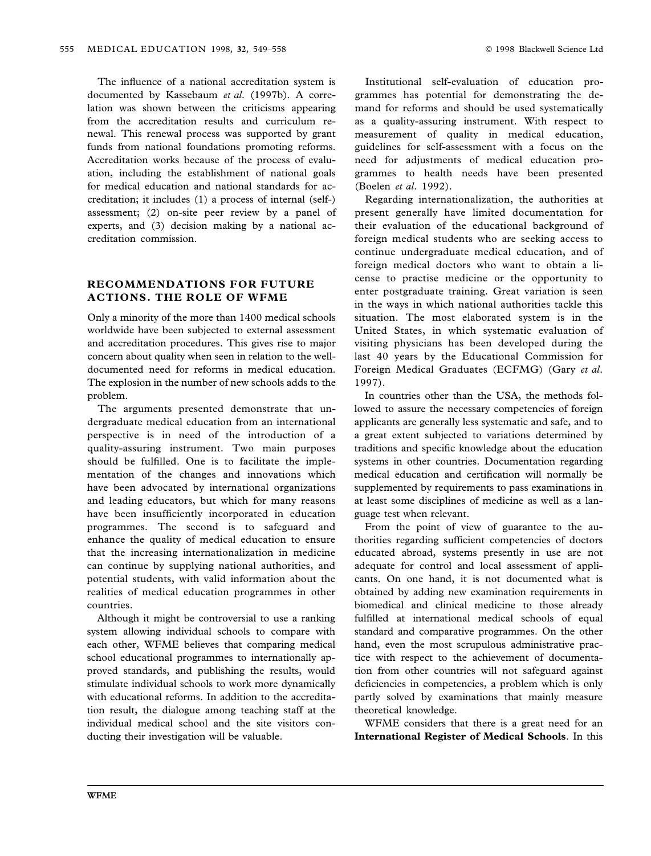The influence of a national accreditation system is documented by Kassebaum et al. (1997b). A correlation was shown between the criticisms appearing from the accreditation results and curriculum renewal. This renewal process was supported by grant funds from national foundations promoting reforms. Accreditation works because of the process of evaluation, including the establishment of national goals for medical education and national standards for accreditation; it includes (1) a process of internal (self-) assessment; (2) on-site peer review by a panel of experts, and (3) decision making by a national accreditation commission.

## RECOMMENDATIONS FOR FUTURE ACTIONS. THE ROLE OF WFME

Only a minority of the more than 1400 medical schools worldwide have been subjected to external assessment and accreditation procedures. This gives rise to major concern about quality when seen in relation to the welldocumented need for reforms in medical education. The explosion in the number of new schools adds to the problem.

The arguments presented demonstrate that undergraduate medical education from an international perspective is in need of the introduction of a quality-assuring instrument. Two main purposes should be fulfilled. One is to facilitate the implementation of the changes and innovations which have been advocated by international organizations and leading educators, but which for many reasons have been insufficiently incorporated in education programmes. The second is to safeguard and enhance the quality of medical education to ensure that the increasing internationalization in medicine can continue by supplying national authorities, and potential students, with valid information about the realities of medical education programmes in other countries.

Although it might be controversial to use a ranking system allowing individual schools to compare with each other, WFME believes that comparing medical school educational programmes to internationally approved standards, and publishing the results, would stimulate individual schools to work more dynamically with educational reforms. In addition to the accreditation result, the dialogue among teaching staff at the individual medical school and the site visitors conducting their investigation will be valuable.

Institutional self-evaluation of education programmes has potential for demonstrating the demand for reforms and should be used systematically as a quality-assuring instrument. With respect to measurement of quality in medical education, guidelines for self-assessment with a focus on the need for adjustments of medical education programmes to health needs have been presented (Boelen et al. 1992).

Regarding internationalization, the authorities at present generally have limited documentation for their evaluation of the educational background of foreign medical students who are seeking access to continue undergraduate medical education, and of foreign medical doctors who want to obtain a license to practise medicine or the opportunity to enter postgraduate training. Great variation is seen in the ways in which national authorities tackle this situation. The most elaborated system is in the United States, in which systematic evaluation of visiting physicians has been developed during the last 40 years by the Educational Commission for Foreign Medical Graduates (ECFMG) (Gary et al. 1997).

In countries other than the USA, the methods followed to assure the necessary competencies of foreign applicants are generally less systematic and safe, and to a great extent subjected to variations determined by traditions and specific knowledge about the education systems in other countries. Documentation regarding medical education and certification will normally be supplemented by requirements to pass examinations in at least some disciplines of medicine as well as a language test when relevant.

From the point of view of guarantee to the authorities regarding sufficient competencies of doctors educated abroad, systems presently in use are not adequate for control and local assessment of applicants. On one hand, it is not documented what is obtained by adding new examination requirements in biomedical and clinical medicine to those already fulfilled at international medical schools of equal standard and comparative programmes. On the other hand, even the most scrupulous administrative practice with respect to the achievement of documentation from other countries will not safeguard against deficiencies in competencies, a problem which is only partly solved by examinations that mainly measure theoretical knowledge.

WFME considers that there is a great need for an International Register of Medical Schools. In this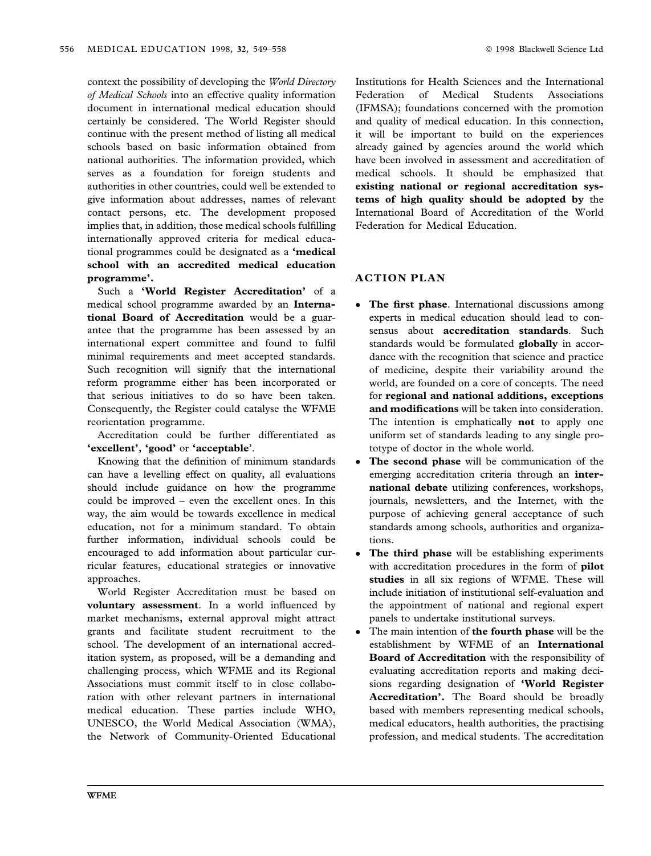context the possibility of developing the World Directory of Medical Schools into an effective quality information document in international medical education should certainly be considered. The World Register should continue with the present method of listing all medical schools based on basic information obtained from national authorities. The information provided, which serves as a foundation for foreign students and authorities in other countries, could well be extended to give information about addresses, names of relevant contact persons, etc. The development proposed implies that, in addition, those medical schools fulfilling internationally approved criteria for medical educational programmes could be designated as a 'medical school with an accredited medical education programme'.

Such a 'World Register Accreditation' of a medical school programme awarded by an International Board of Accreditation would be a guarantee that the programme has been assessed by an international expert committee and found to fulfil minimal requirements and meet accepted standards. Such recognition will signify that the international reform programme either has been incorporated or that serious initiatives to do so have been taken. Consequently, the Register could catalyse the WFME reorientation programme.

Accreditation could be further differentiated as 'excellent', 'good' or 'acceptable'.

Knowing that the definition of minimum standards can have a levelling effect on quality, all evaluations should include guidance on how the programme could be improved  $-$  even the excellent ones. In this way, the aim would be towards excellence in medical education, not for a minimum standard. To obtain further information, individual schools could be encouraged to add information about particular curricular features, educational strategies or innovative approaches.

World Register Accreditation must be based on voluntary assessment. In a world influenced by market mechanisms, external approval might attract grants and facilitate student recruitment to the school. The development of an international accreditation system, as proposed, will be a demanding and challenging process, which WFME and its Regional Associations must commit itself to in close collaboration with other relevant partners in international medical education. These parties include WHO, UNESCO, the World Medical Association (WMA), the Network of Community-Oriented Educational Institutions for Health Sciences and the International Federation of Medical Students Associations (IFMSA); foundations concerned with the promotion and quality of medical education. In this connection, it will be important to build on the experiences already gained by agencies around the world which have been involved in assessment and accreditation of medical schools. It should be emphasized that existing national or regional accreditation systems of high quality should be adopted by the International Board of Accreditation of the World Federation for Medical Education.

# ACTION PLAN

- The first phase. International discussions among experts in medical education should lead to consensus about accreditation standards. Such standards would be formulated globally in accordance with the recognition that science and practice of medicine, despite their variability around the world, are founded on a core of concepts. The need for regional and national additions, exceptions and modifications will be taken into consideration. The intention is emphatically **not** to apply one uniform set of standards leading to any single prototype of doctor in the whole world.
- The second phase will be communication of the emerging accreditation criteria through an international debate utilizing conferences, workshops, journals, newsletters, and the Internet, with the purpose of achieving general acceptance of such standards among schools, authorities and organizations.
- The third phase will be establishing experiments with accreditation procedures in the form of pilot studies in all six regions of WFME. These will include initiation of institutional self-evaluation and the appointment of national and regional expert panels to undertake institutional surveys.
- The main intention of the fourth phase will be the establishment by WFME of an International Board of Accreditation with the responsibility of evaluating accreditation reports and making decisions regarding designation of 'World Register Accreditation'. The Board should be broadly based with members representing medical schools, medical educators, health authorities, the practising profession, and medical students. The accreditation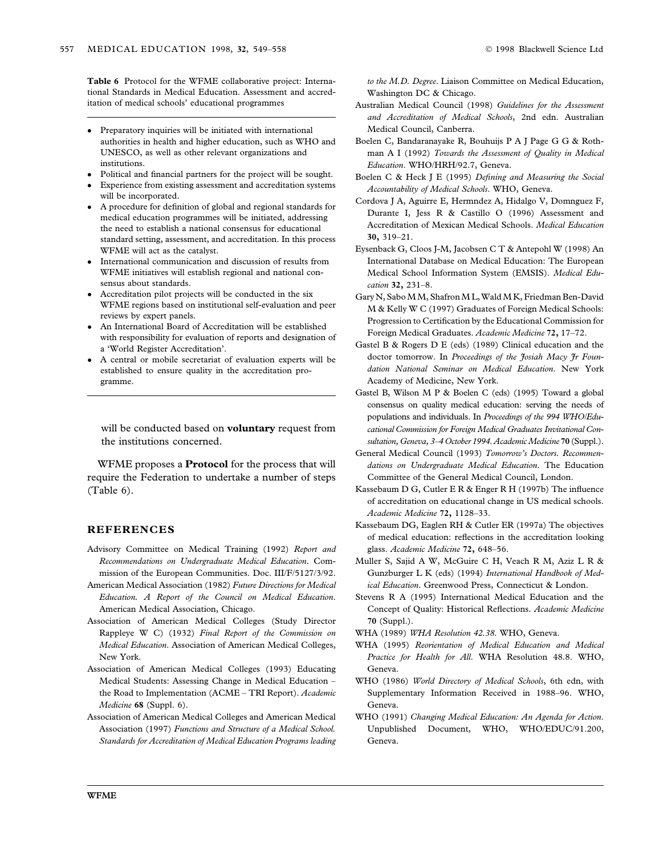Table 6 Protocol for the WFME collaborative project: International Standards in Medical Education. Assessment and accreditation of medical schools' educational programmes

- Preparatory inquiries will be initiated with international authorities in health and higher education, such as WHO and UNESCO, as well as other relevant organizations and institutions.
- Political and financial partners for the project will be sought.
- Experience from existing assessment and accreditation systems will be incorporated.
- A procedure for definition of global and regional standards for medical education programmes will be initiated, addressing the need to establish a national consensus for educational standard setting, assessment, and accreditation. In this process WFME will act as the catalyst.
- International communication and discussion of results from WFME initiatives will establish regional and national consensus about standards.
- Accreditation pilot projects will be conducted in the six WFME regions based on institutional self-evaluation and peer reviews by expert panels.
- An International Board of Accreditation will be established with responsibility for evaluation of reports and designation of a `World Register Accreditation'.
- A central or mobile secretariat of evaluation experts will be established to ensure quality in the accreditation programme.

will be conducted based on **voluntary** request from the institutions concerned.

WFME proposes a **Protocol** for the process that will require the Federation to undertake a number of steps (Table 6).

### REFERENCES

- Advisory Committee on Medical Training (1992) Report and Recommendations on Undergraduate Medical Education. Commission of the European Communities. Doc. III/F/5127/3/92.
- American Medical Association (1982) Future Directions for Medical Education. A Report of the Council on Medical Education. American Medical Association, Chicago.
- Association of American Medical Colleges (Study Director Rappleye W C) (1932) Final Report of the Commission on Medical Education. Association of American Medical Colleges, New York.
- Association of American Medical Colleges (1993) Educating Medical Students: Assessing Change in Medical Education the Road to Implementation (ACME - TRI Report). Academic Medicine 68 (Suppl. 6).
- Association of American Medical Colleges and American Medical Association (1997) Functions and Structure of a Medical School. Standards for Accreditation of Medical Education Programs leading

to the M.D. Degree. Liaison Committee on Medical Education, Washington DC & Chicago.

- Australian Medical Council (1998) Guidelines for the Assessment and Accreditation of Medical Schools, 2nd edn. Australian Medical Council, Canberra.
- Boelen C, Bandaranayake R, Bouhuijs P A J Page G G & Rothman A I (1992) Towards the Assessment of Quality in Medical Education. WHO/HRH/92.7, Geneva.
- Boelen C & Heck J E (1995) Defining and Measuring the Social Accountability of Medical Schools. WHO, Geneva.
- Cordova J A, Aguirre E, Hermndez A, Hidalgo V, Domnguez F, Durante I, Jess R & Castillo O (1996) Assessment and Accreditation of Mexican Medical Schools. Medical Education 30, 319±21.
- Eysenback G, Cloos J-M, Jacobsen C T & Antepohl W (1998) An International Database on Medical Education: The European Medical School Information System (EMSIS). Medical Education 32, 231-8.
- Gary N, Sabo M M, Shafron M L, Wald M K, Friedman Ben-David M & Kelly W C (1997) Graduates of Foreign Medical Schools: Progression to Certification by the Educational Commission for Foreign Medical Graduates. Academic Medicine 72, 17-72.
- Gastel B & Rogers D E (eds) (1989) Clinical education and the doctor tomorrow. In Proceedings of the Josiah Macy Jr Foundation National Seminar on Medical Education. New York Academy of Medicine, New York.
- Gastel B, Wilson M P & Boelen C (eds) (1995) Toward a global consensus on quality medical education: serving the needs of populations and individuals. In Proceedings of the 994 WHO/Educational Commission for Foreign Medical Graduates Invitational Consultation, Geneva, 3-4 October 1994. Academic Medicine 70 (Suppl.).
- General Medical Council (1993) Tomorrow's Doctors. Recommendations on Undergraduate Medical Education. The Education Committee of the General Medical Council, London.
- Kassebaum D G, Cutler E R  $&$  Enger R H (1997b) The influence of accreditation on educational change in US medical schools. Academic Medicine 72, 1128-33.
- Kassebaum DG, Eaglen RH & Cutler ER (1997a) The objectives of medical education: reflections in the accreditation looking glass. Academic Medicine 72, 648-56.
- Muller S, Sajid A W, McGuire C H, Veach R M, Aziz L R & Gunzburger L K (eds) (1994) International Handbook of Medical Education. Greenwood Press, Connecticut & London.
- Stevens R A (1995) International Medical Education and the Concept of Quality: Historical Reflections. Academic Medicine 70 (Suppl.).
- WHA (1989) WHA Resolution 42.38. WHO, Geneva.
- WHA (1995) Reorientation of Medical Education and Medical Practice for Health for All. WHA Resolution 48.8. WHO, Geneva.
- WHO (1986) World Directory of Medical Schools, 6th edn, with Supplementary Information Received in 1988-96. WHO, Geneva.
- WHO (1991) Changing Medical Education: An Agenda for Action. Unpublished Document, WHO, WHO/EDUC/91.200, Geneva.